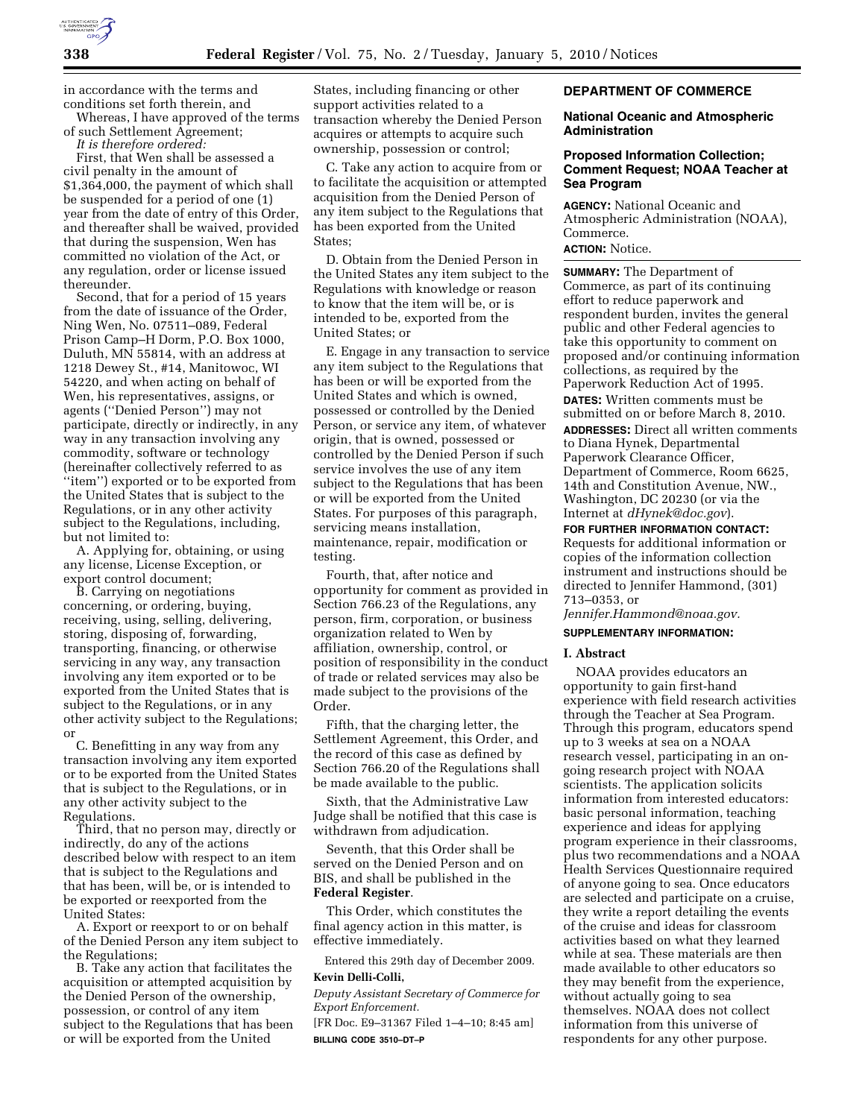

in accordance with the terms and conditions set forth therein, and

Whereas, I have approved of the terms of such Settlement Agreement;

*It is therefore ordered:*  First, that Wen shall be assessed a civil penalty in the amount of \$1,364,000, the payment of which shall be suspended for a period of one (1) year from the date of entry of this Order, and thereafter shall be waived, provided that during the suspension, Wen has committed no violation of the Act, or any regulation, order or license issued

thereunder. Second, that for a period of 15 years from the date of issuance of the Order, Ning Wen, No. 07511–089, Federal Prison Camp–H Dorm, P.O. Box 1000, Duluth, MN 55814, with an address at 1218 Dewey St., #14, Manitowoc, WI 54220, and when acting on behalf of Wen, his representatives, assigns, or agents (''Denied Person'') may not participate, directly or indirectly, in any way in any transaction involving any commodity, software or technology (hereinafter collectively referred to as ''item'') exported or to be exported from the United States that is subject to the Regulations, or in any other activity subject to the Regulations, including, but not limited to:

A. Applying for, obtaining, or using any license, License Exception, or export control document;

B. Carrying on negotiations concerning, or ordering, buying, receiving, using, selling, delivering, storing, disposing of, forwarding, transporting, financing, or otherwise servicing in any way, any transaction involving any item exported or to be exported from the United States that is subject to the Regulations, or in any other activity subject to the Regulations; or

C. Benefitting in any way from any transaction involving any item exported or to be exported from the United States that is subject to the Regulations, or in any other activity subject to the Regulations.

Third, that no person may, directly or indirectly, do any of the actions described below with respect to an item that is subject to the Regulations and that has been, will be, or is intended to be exported or reexported from the United States:

A. Export or reexport to or on behalf of the Denied Person any item subject to the Regulations;

B. Take any action that facilitates the acquisition or attempted acquisition by the Denied Person of the ownership, possession, or control of any item subject to the Regulations that has been or will be exported from the United

States, including financing or other support activities related to a transaction whereby the Denied Person acquires or attempts to acquire such ownership, possession or control;

C. Take any action to acquire from or to facilitate the acquisition or attempted acquisition from the Denied Person of any item subject to the Regulations that has been exported from the United States;

D. Obtain from the Denied Person in the United States any item subject to the Regulations with knowledge or reason to know that the item will be, or is intended to be, exported from the United States; or

E. Engage in any transaction to service any item subject to the Regulations that has been or will be exported from the United States and which is owned, possessed or controlled by the Denied Person, or service any item, of whatever origin, that is owned, possessed or controlled by the Denied Person if such service involves the use of any item subject to the Regulations that has been or will be exported from the United States. For purposes of this paragraph, servicing means installation, maintenance, repair, modification or testing.

Fourth, that, after notice and opportunity for comment as provided in Section 766.23 of the Regulations, any person, firm, corporation, or business organization related to Wen by affiliation, ownership, control, or position of responsibility in the conduct of trade or related services may also be made subject to the provisions of the Order.

Fifth, that the charging letter, the Settlement Agreement, this Order, and the record of this case as defined by Section 766.20 of the Regulations shall be made available to the public.

Sixth, that the Administrative Law Judge shall be notified that this case is withdrawn from adjudication.

Seventh, that this Order shall be served on the Denied Person and on BIS, and shall be published in the **Federal Register**.

This Order, which constitutes the final agency action in this matter, is effective immediately.

Entered this 29th day of December 2009. **Kevin Delli-Colli,** 

*Deputy Assistant Secretary of Commerce for Export Enforcement.* 

[FR Doc. E9–31367 Filed 1–4–10; 8:45 am] **BILLING CODE 3510–DT–P** 

## **DEPARTMENT OF COMMERCE**

## **National Oceanic and Atmospheric Administration**

## **Proposed Information Collection; Comment Request; NOAA Teacher at Sea Program**

**AGENCY:** National Oceanic and Atmospheric Administration (NOAA), Commerce.

# **ACTION:** Notice.

**SUMMARY:** The Department of Commerce, as part of its continuing effort to reduce paperwork and respondent burden, invites the general public and other Federal agencies to take this opportunity to comment on proposed and/or continuing information collections, as required by the Paperwork Reduction Act of 1995. **DATES:** Written comments must be submitted on or before March 8, 2010.

**ADDRESSES:** Direct all written comments to Diana Hynek, Departmental Paperwork Clearance Officer, Department of Commerce, Room 6625, 14th and Constitution Avenue, NW., Washington, DC 20230 (or via the Internet at *dHynek@doc.gov*).

**FOR FURTHER INFORMATION CONTACT:**  Requests for additional information or copies of the information collection instrument and instructions should be directed to Jennifer Hammond, (301) 713–0353, or

*Jennifer.Hammond@noaa.gov.* 

## **SUPPLEMENTARY INFORMATION:**

## **I. Abstract**

NOAA provides educators an opportunity to gain first-hand experience with field research activities through the Teacher at Sea Program. Through this program, educators spend up to 3 weeks at sea on a NOAA research vessel, participating in an ongoing research project with NOAA scientists. The application solicits information from interested educators: basic personal information, teaching experience and ideas for applying program experience in their classrooms, plus two recommendations and a NOAA Health Services Questionnaire required of anyone going to sea. Once educators are selected and participate on a cruise, they write a report detailing the events of the cruise and ideas for classroom activities based on what they learned while at sea. These materials are then made available to other educators so they may benefit from the experience, without actually going to sea themselves. NOAA does not collect information from this universe of respondents for any other purpose.